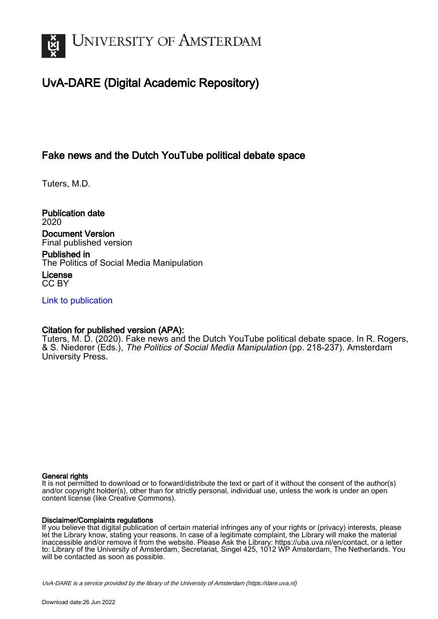

# UvA-DARE (Digital Academic Repository)

# Fake news and the Dutch YouTube political debate space

Tuters, M.D.

Publication date 2020 Document Version

Final published version

Published in The Politics of Social Media Manipulation

License CC BY

[Link to publication](https://dare.uva.nl/personal/pure/en/publications/fake-news-and-the-dutch-youtube-political-debate-space(ee259354-7c97-4650-9534-ffeea8411560).html)

## Citation for published version (APA):

Tuters, M. D. (2020). Fake news and the Dutch YouTube political debate space. In R. Rogers, & S. Niederer (Eds.), The Politics of Social Media Manipulation (pp. 218-237). Amsterdam University Press.

#### General rights

It is not permitted to download or to forward/distribute the text or part of it without the consent of the author(s) and/or copyright holder(s), other than for strictly personal, individual use, unless the work is under an open content license (like Creative Commons).

#### Disclaimer/Complaints regulations

If you believe that digital publication of certain material infringes any of your rights or (privacy) interests, please let the Library know, stating your reasons. In case of a legitimate complaint, the Library will make the material inaccessible and/or remove it from the website. Please Ask the Library: https://uba.uva.nl/en/contact, or a letter to: Library of the University of Amsterdam, Secretariat, Singel 425, 1012 WP Amsterdam, The Netherlands. You will be contacted as soon as possible.

UvA-DARE is a service provided by the library of the University of Amsterdam (http*s*://dare.uva.nl)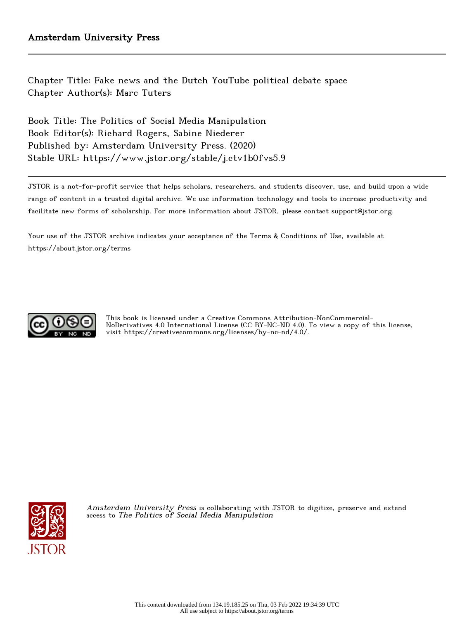Chapter Title: Fake news and the Dutch YouTube political debate space Chapter Author(s): Marc Tuters

Book Title: The Politics of Social Media Manipulation Book Editor(s): Richard Rogers, Sabine Niederer Published by: Amsterdam University Press. (2020) Stable URL: https://www.jstor.org/stable/j.ctv1b0fvs5.9

JSTOR is a not-for-profit service that helps scholars, researchers, and students discover, use, and build upon a wide range of content in a trusted digital archive. We use information technology and tools to increase productivity and facilitate new forms of scholarship. For more information about JSTOR, please contact support@jstor.org.

Your use of the JSTOR archive indicates your acceptance of the Terms & Conditions of Use, available at https://about.jstor.org/terms



This book is licensed under a Creative Commons Attribution-NonCommercial-NoDerivatives 4.0 International License (CC BY-NC-ND 4.0). To view a copy of this license, visit https://creativecommons.org/licenses/by-nc-nd/4.0/.



Amsterdam University Press is collaborating with JSTOR to digitize, preserve and extend access to The Politics of Social Media Manipulation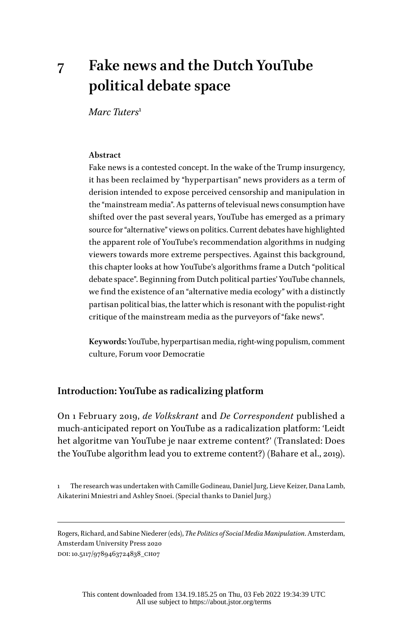# **7 Fake news and the Dutch YouTube political debate space**

*Marc Tuters*<sup>1</sup>

#### **Abstract**

Fake news is a contested concept. In the wake of the Trump insurgency, it has been reclaimed by "hyperpartisan" news providers as a term of derision intended to expose perceived censorship and manipulation in the "mainstream media". As patterns of televisual news consumption have shifted over the past several years, YouTube has emerged as a primary source for "alternative" views on politics. Current debates have highlighted the apparent role of YouTube's recommendation algorithms in nudging viewers towards more extreme perspectives. Against this background, this chapter looks at how YouTube's algorithms frame a Dutch "political debate space". Beginning from Dutch political parties' YouTube channels, we find the existence of an "alternative media ecology" with a distinctly partisan political bias, the latter which is resonant with the populist-right critique of the mainstream media as the purveyors of "fake news".

**Keywords:** YouTube, hyperpartisan media, right-wing populism, comment culture, Forum voor Democratie

#### **Introduction: YouTube as radicalizing platform**

On 1 February 2019, *de Volkskrant* and *De Correspondent* published a much-anticipated report on YouTube as a radicalization platform: 'Leidt het algoritme van YouTube je naar extreme content?' (Translated: Does the YouTube algorithm lead you to extreme content?) (Bahare et al., 2019).

1 The research was undertaken with Camille Godineau, Daniel Jurg, Lieve Keizer, Dana Lamb, Aikaterini Mniestri and Ashley Snoei. (Special thanks to Daniel Jurg.)

Rogers, Richard, and Sabine Niederer (eds), *The Politics of Social Media Manipulation*. Amsterdam, Amsterdam University Press 2020 DOI: 10.5117/9789463724838\_CH07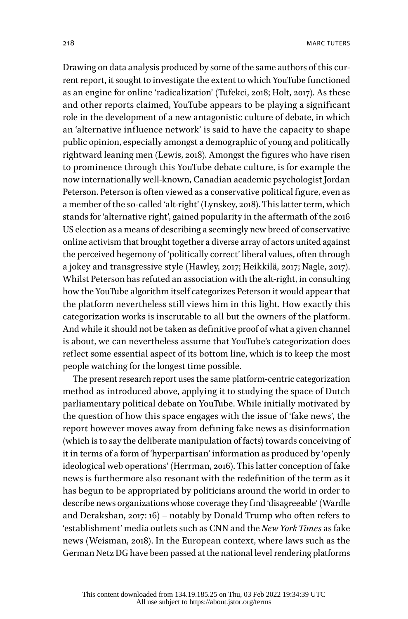Drawing on data analysis produced by some of the same authors of this current report, it sought to investigate the extent to which YouTube functioned as an engine for online 'radicalization' (Tufekci, 2018; Holt, 2017). As these and other reports claimed, YouTube appears to be playing a significant role in the development of a new antagonistic culture of debate, in which an 'alternative influence network' is said to have the capacity to shape public opinion, especially amongst a demographic of young and politically rightward leaning men (Lewis, 2018). Amongst the figures who have risen to prominence through this YouTube debate culture, is for example the now internationally well-known, Canadian academic psychologist Jordan Peterson. Peterson is often viewed as a conservative political figure, even as a member of the so-called 'alt-right' (Lynskey, 2018). This latter term, which stands for 'alternative right', gained popularity in the aftermath of the 2016 US election as a means of describing a seemingly new breed of conservative online activism that brought together a diverse array of actors united against the perceived hegemony of 'politically correct' liberal values, often through a jokey and transgressive style (Hawley, 2017; Heikkilä, 2017; Nagle, 2017). Whilst Peterson has refuted an association with the alt-right, in consulting how the YouTube algorithm itself categorizes Peterson it would appear that the platform nevertheless still views him in this light. How exactly this categorization works is inscrutable to all but the owners of the platform. And while it should not be taken as definitive proof of what a given channel is about, we can nevertheless assume that YouTube's categorization does reflect some essential aspect of its bottom line, which is to keep the most people watching for the longest time possible.

The present research report uses the same platform-centric categorization method as introduced above, applying it to studying the space of Dutch parliamentary political debate on YouTube. While initially motivated by the question of how this space engages with the issue of 'fake news', the report however moves away from defining fake news as disinformation (which is to say the deliberate manipulation of facts) towards conceiving of it in terms of a form of 'hyperpartisan' information as produced by 'openly ideological web operations' (Herrman, 2016). This latter conception of fake news is furthermore also resonant with the redefinition of the term as it has begun to be appropriated by politicians around the world in order to describe news organizations whose coverage they find 'disagreeable' (Wardle and Derakshan, 2017: 16) – notably by Donald Trump who often refers to 'establishment' media outlets such as CNN and the *New York Times* as fake news (Weisman, 2018). In the European context, where laws such as the German Netz DG have been passed at the national level rendering platforms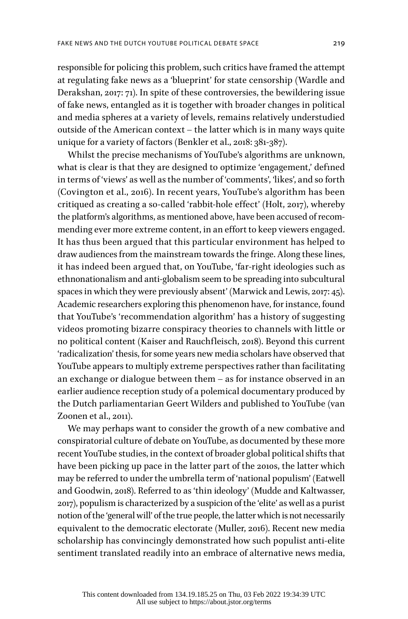responsible for policing this problem, such critics have framed the attempt at regulating fake news as a 'blueprint' for state censorship (Wardle and Derakshan, 2017: 71). In spite of these controversies, the bewildering issue of fake news, entangled as it is together with broader changes in political and media spheres at a variety of levels, remains relatively understudied outside of the American context – the latter which is in many ways quite unique for a variety of factors (Benkler et al., 2018: 381-387).

Whilst the precise mechanisms of YouTube's algorithms are unknown, what is clear is that they are designed to optimize 'engagement,' defined in terms of 'views' as well as the number of 'comments', 'likes', and so forth (Covington et al., 2016). In recent years, YouTube's algorithm has been critiqued as creating a so-called 'rabbit-hole effect' (Holt, 2017), whereby the platform's algorithms, as mentioned above, have been accused of recommending ever more extreme content, in an effort to keep viewers engaged. It has thus been argued that this particular environment has helped to draw audiences from the mainstream towards the fringe. Along these lines, it has indeed been argued that, on YouTube, 'far-right ideologies such as ethnonationalism and anti-globalism seem to be spreading into subcultural spaces in which they were previously absent' (Marwick and Lewis, 2017: 45). Academic researchers exploring this phenomenon have, for instance, found that YouTube's 'recommendation algorithm' has a history of suggesting videos promoting bizarre conspiracy theories to channels with little or no political content (Kaiser and Rauchfleisch, 2018). Beyond this current 'radicalization' thesis, for some years new media scholars have observed that YouTube appears to multiply extreme perspectives rather than facilitating an exchange or dialogue between them – as for instance observed in an earlier audience reception study of a polemical documentary produced by the Dutch parliamentarian Geert Wilders and published to YouTube (van Zoonen et al., 2011).

We may perhaps want to consider the growth of a new combative and conspiratorial culture of debate on YouTube, as documented by these more recent YouTube studies, in the context of broader global political shifts that have been picking up pace in the latter part of the 2010s, the latter which may be referred to under the umbrella term of 'national populism' (Eatwell and Goodwin, 2018). Referred to as 'thin ideology' (Mudde and Kaltwasser, 2017), populism is characterized by a suspicion of the 'elite' as well as a purist notion of the 'general will' of the true people, the latter which is not necessarily equivalent to the democratic electorate (Muller, 2016). Recent new media scholarship has convincingly demonstrated how such populist anti-elite sentiment translated readily into an embrace of alternative news media,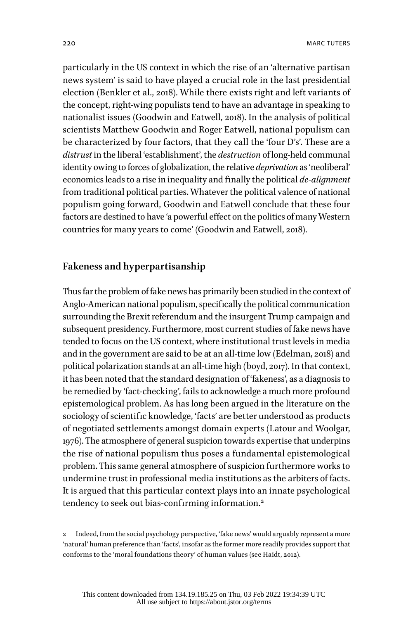particularly in the US context in which the rise of an 'alternative partisan news system' is said to have played a crucial role in the last presidential election (Benkler et al., 2018). While there exists right and left variants of the concept, right-wing populists tend to have an advantage in speaking to nationalist issues (Goodwin and Eatwell, 2018). In the analysis of political scientists Matthew Goodwin and Roger Eatwell, national populism can be characterized by four factors, that they call the 'four D's'. These are a *distrust* in the liberal 'establishment', the *destruction* of long-held communal identity owing to forces of globalization, the relative *deprivation* as 'neoliberal' economics leads to a rise in inequality and finally the political *de-alignment* from traditional political parties. Whatever the political valence of national populism going forward, Goodwin and Eatwell conclude that these four factors are destined to have 'a powerful effect on the politics of many Western countries for many years to come' (Goodwin and Eatwell, 2018).

#### **Fakeness and hyperpartisanship**

Thus far the problem of fake news has primarily been studied in the context of Anglo-American national populism, specifically the political communication surrounding the Brexit referendum and the insurgent Trump campaign and subsequent presidency. Furthermore, most current studies of fake news have tended to focus on the US context, where institutional trust levels in media and in the government are said to be at an all-time low (Edelman, 2018) and political polarization stands at an all-time high (boyd, 2017). In that context, it has been noted that the standard designation of 'fakeness', as a diagnosis to be remedied by 'fact-checking', fails to acknowledge a much more profound epistemological problem. As has long been argued in the literature on the sociology of scientific knowledge, 'facts' are better understood as products of negotiated settlements amongst domain experts (Latour and Woolgar, 1976). The atmosphere of general suspicion towards expertise that underpins the rise of national populism thus poses a fundamental epistemological problem. This same general atmosphere of suspicion furthermore works to undermine trust in professional media institutions as the arbiters of facts. It is argued that this particular context plays into an innate psychological tendency to seek out bias-confirming information.<sup>2</sup>

<sup>2</sup> Indeed, from the social psychology perspective, 'fake news' would arguably represent a more 'natural' human preference than 'facts', insofar as the former more readily provides support that conforms to the 'moral foundations theory' of human values (see Haidt, 2012).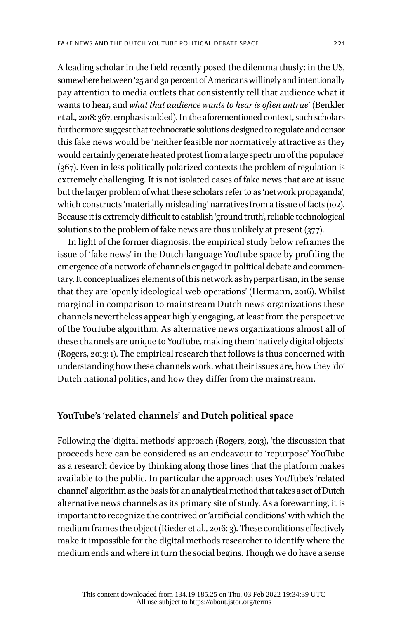A leading scholar in the field recently posed the dilemma thusly: in the US, somewhere between '25 and 30 percent of Americans willingly and intentionally pay attention to media outlets that consistently tell that audience what it wants to hear, and *what that audience wants to hear is often untrue*' (Benkler et al., 2018: 367, emphasis added). In the aforementioned context, such scholars furthermore suggest that technocratic solutions designed to regulate and censor this fake news would be 'neither feasible nor normatively attractive as they would certainly generate heated protest from a large spectrum of the populace' (367). Even in less politically polarized contexts the problem of regulation is extremely challenging. It is not isolated cases of fake news that are at issue but the larger problem of what these scholars refer to as 'network propaganda', which constructs 'materially misleading' narratives from a tissue of facts (102). Because it is extremely difficult to establish 'ground truth', reliable technological solutions to the problem of fake news are thus unlikely at present (377).

In light of the former diagnosis, the empirical study below reframes the issue of 'fake news' in the Dutch-language YouTube space by profiling the emergence of a network of channels engaged in political debate and commentary. It conceptualizes elements of this network as hyperpartisan, in the sense that they are 'openly ideological web operations' (Hermann, 2016). Whilst marginal in comparison to mainstream Dutch news organizations these channels nevertheless appear highly engaging, at least from the perspective of the YouTube algorithm. As alternative news organizations almost all of these channels are unique to YouTube, making them 'natively digital objects' (Rogers, 2013: 1). The empirical research that follows is thus concerned with understanding how these channels work, what their issues are, how they 'do' Dutch national politics, and how they differ from the mainstream.

#### **YouTube's 'related channels' and Dutch political space**

Following the 'digital methods' approach (Rogers, 2013), 'the discussion that proceeds here can be considered as an endeavour to 'repurpose' YouTube as a research device by thinking along those lines that the platform makes available to the public. In particular the approach uses YouTube's 'related channel' algorithm as the basis for an analytical method that takes a set of Dutch alternative news channels as its primary site of study. As a forewarning, it is important to recognize the contrived or 'artificial conditions' with which the medium frames the object (Rieder et al., 2016: 3). These conditions effectively make it impossible for the digital methods researcher to identify where the medium ends and where in turn the social begins. Though we do have a sense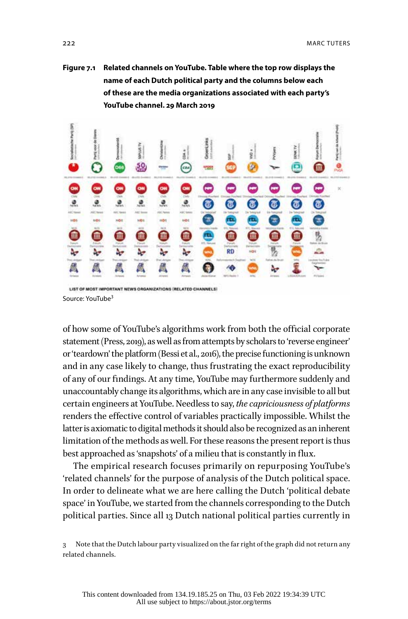**Figure 7.1 Related channels on YouTube. Table where the top row displays the name of each Dutch political party and the columns below each of these are the media organizations associated with each party's YouTube channel. 29 March 2019**



LIST OF MOST IMPORTANT NEWS ORGANIZATIONS (RELATED CHANNELS) Source: YouTube3

of how some of YouTube's algorithms work from both the official corporate statement (Press, 2019), as well as from attempts by scholars to 'reverse engineer' or 'teardown' the platform (Bessi et al., 2016), the precise functioning is unknown and in any case likely to change, thus frustrating the exact reproducibility of any of our findings. At any time, YouTube may furthermore suddenly and unaccountably change its algorithms, which are in any case invisible to all but certain engineers at YouTube. Needless to say, *the capriciousness of platforms* renders the effective control of variables practically impossible. Whilst the latter is axiomatic to digital methods it should also be recognized as an inherent limitation of the methods as well. For these reasons the present report is thus best approached as 'snapshots' of a milieu that is constantly in flux.

The empirical research focuses primarily on repurposing YouTube's 'related channels' for the purpose of analysis of the Dutch political space. In order to delineate what we are here calling the Dutch 'political debate space' in YouTube, we started from the channels corresponding to the Dutch political parties. Since all 13 Dutch national political parties currently in

<sup>3</sup> Note that the Dutch labour party visualized on the far right of the graph did not return any related channels.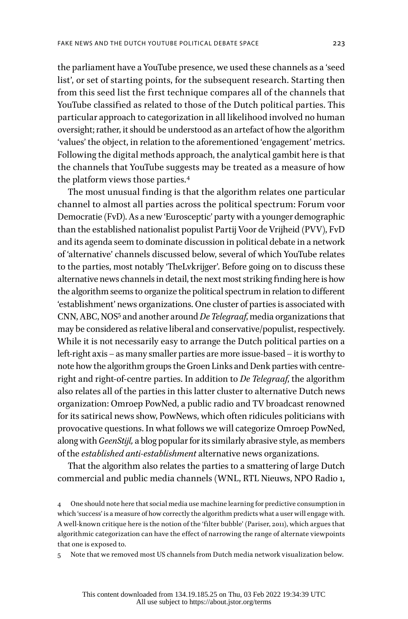the parliament have a YouTube presence, we used these channels as a 'seed list', or set of starting points, for the subsequent research. Starting then from this seed list the first technique compares all of the channels that YouTube classified as related to those of the Dutch political parties. This particular approach to categorization in all likelihood involved no human oversight; rather, it should be understood as an artefact of how the algorithm 'values' the object, in relation to the aforementioned 'engagement' metrics. Following the digital methods approach, the analytical gambit here is that the channels that YouTube suggests may be treated as a measure of how the platform views those parties.<sup>4</sup>

The most unusual finding is that the algorithm relates one particular channel to almost all parties across the political spectrum: Forum voor Democratie (FvD). As a new 'Eurosceptic' party with a younger demographic than the established nationalist populist Partij Voor de Vrijheid (PVV), FvD and its agenda seem to dominate discussion in political debate in a network of 'alternative' channels discussed below, several of which YouTube relates to the parties, most notably 'TheLvkrijger'. Before going on to discuss these alternative news channels in detail, the next most striking finding here is how the algorithm seems to organize the political spectrum in relation to different 'establishment' news organizations. One cluster of parties is associated with CNN, ABC, NOS5 and another around *De Telegraaf*, media organizations that may be considered as relative liberal and conservative/populist, respectively. While it is not necessarily easy to arrange the Dutch political parties on a left-right axis – as many smaller parties are more issue-based – it is worthy to note how the algorithm groups the Groen Links and Denk parties with centreright and right-of-centre parties. In addition to *De Telegraaf*, the algorithm also relates all of the parties in this latter cluster to alternative Dutch news organization: Omroep PowNed, a public radio and TV broadcast renowned for its satirical news show, PowNews, which often ridicules politicians with provocative questions. In what follows we will categorize Omroep PowNed, along with *GeenStijl,* a blog popular for its similarly abrasive style, as members of the *established anti-establishment* alternative news organizations.

That the algorithm also relates the parties to a smattering of large Dutch commercial and public media channels (WNL, RTL Nieuws, NPO Radio 1,

5 Note that we removed most US channels from Dutch media network visualization below.

<sup>4</sup> One should note here that social media use machine learning for predictive consumption in which 'success' is a measure of how correctly the algorithm predicts what a user will engage with. A well-known critique here is the notion of the 'filter bubble' (Pariser, 2011), which argues that algorithmic categorization can have the effect of narrowing the range of alternate viewpoints that one is exposed to.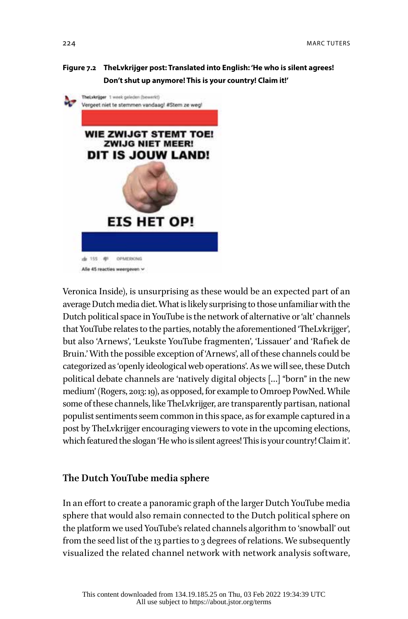#### **Figure 7.2 TheLvkrijger post: Translated into English: 'He who is silent agrees! Don't shut up anymore! This is your country! Claim it!'**



Veronica Inside), is unsurprising as these would be an expected part of an average Dutch media diet. What is likely surprising to those unfamiliar with the Dutch political space in YouTube is the network of alternative or 'alt' channels that YouTube relates to the parties, notably the aforementioned 'TheLvkrijger', but also 'Arnews', 'Leukste YouTube fragmenten', 'Lissauer' and 'Rafiek de Bruin.' With the possible exception of 'Arnews', all of these channels could be categorized as 'openly ideological web operations'. As we will see, these Dutch political debate channels are 'natively digital objects […] "born" in the new medium' (Rogers, 2013: 19), as opposed, for example to Omroep PowNed. While some of these channels, like TheLvkrijger, are transparently partisan, national populist sentiments seem common in this space, as for example captured in a post by TheLvkrijger encouraging viewers to vote in the upcoming elections, which featured the slogan 'He who is silent agrees! This is your country! Claim it'.

#### **The Dutch YouTube media sphere**

In an effort to create a panoramic graph of the larger Dutch YouTube media sphere that would also remain connected to the Dutch political sphere on the platform we used YouTube's related channels algorithm to 'snowball' out from the seed list of the 13 parties to 3 degrees of relations. We subsequently visualized the related channel network with network analysis software,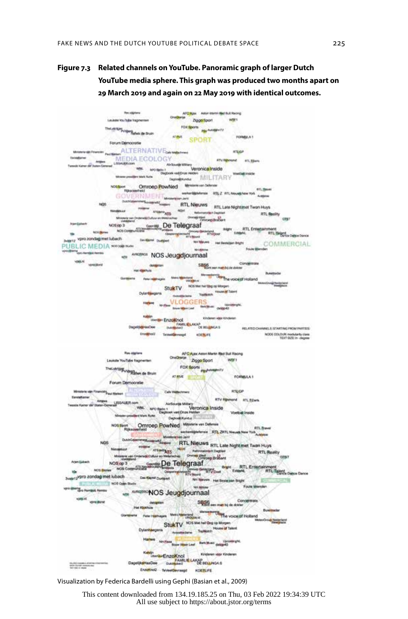**Figure 7.3 Related channels on YouTube. Panoramic graph of larger Dutch YouTube media sphere. This graph was produced two months apart on 29 March 2019 and again on 22 May 2019 with identical outcomes.**



Visualization by Federica Bardelli using Gephi (Basian et al., 2009)

This content downloaded from 134.19.185.25 on Thu, 03 Feb 2022 19:34:39 UTC All use subject to https://about.jstor.org/terms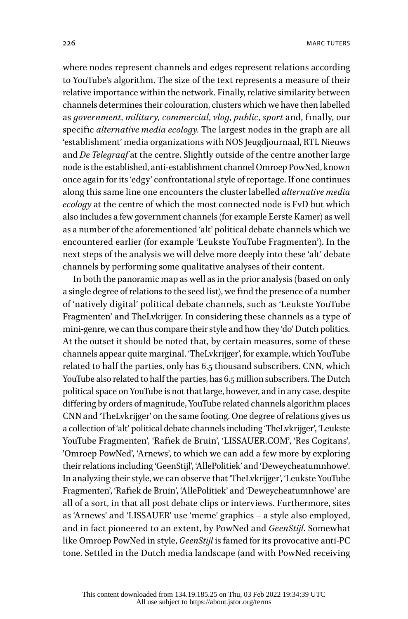where nodes represent channels and edges represent relations according to YouTube's algorithm. The size of the text represents a measure of their relative importance within the network. Finally, relative similarity between channels determines their colouration, clusters which we have then labelled as *government*, *military*, *commercial*, *vlog*, *public*, *sport* and, finally, our specific *alternative media ecology.* The largest nodes in the graph are all 'establishment' media organizations with NOS Jeugdjournaal, RTL Nieuws and *De Telegraaf* at the centre. Slightly outside of the centre another large node is the established, anti-establishment channel Omroep PowNed, known once again for its 'edgy' confrontational style of reportage. If one continues along this same line one encounters the cluster labelled *alternative media ecology* at the centre of which the most connected node is FvD but which also includes a few government channels (for example Eerste Kamer) as well as a number of the aforementioned 'alt' political debate channels which we encountered earlier (for example 'Leukste YouTube Fragmenten'). In the next steps of the analysis we will delve more deeply into these 'alt' debate channels by performing some qualitative analyses of their content.

In both the panoramic map as well as in the prior analysis (based on only a single degree of relations to the seed list), we find the presence of a number of 'natively digital' political debate channels, such as 'Leukste YouTube Fragmenten' and TheLvkrijger. In considering these channels as a type of mini-genre, we can thus compare their style and how they 'do' Dutch politics. At the outset it should be noted that, by certain measures, some of these channels appear quite marginal. 'TheLvkrijger', for example, which YouTube related to half the parties, only has 6.5 thousand subscribers. CNN, which YouTube also related to half the parties, has 6.5 million subscribers. The Dutch political space on YouTube is not that large, however, and in any case, despite differing by orders of magnitude, YouTube related channels algorithm places CNN and 'TheLvkrijger' on the same footing. One degree of relations gives us a collection of 'alt' political debate channels including 'TheLvkrijger', 'Leukste YouTube Fragmenten', 'Rafiek de Bruin', 'LISSAUER.COM', 'Res Cogitans', 'Omroep PowNed', 'Arnews', to which we can add a few more by exploring their relations including 'GeenStijl', 'AllePolitiek' and 'Deweycheatumnhowe'. In analyzing their style, we can observe that 'TheLvkrijger', 'Leukste YouTube Fragmenten', 'Rafiek de Bruin', 'AllePolitiek' and 'Deweycheatumnhowe' are all of a sort, in that all post debate clips or interviews. Furthermore, sites as 'Arnews' and 'LISSAUER' use 'meme' graphics – a style also employed, and in fact pioneered to an extent, by PowNed and *GeenStijl*. Somewhat like Omroep PowNed in style, *GeenStijl* is famed for its provocative anti-PC tone. Settled in the Dutch media landscape (and with PowNed receiving

This content downloaded from 134.19.185.25 on Thu, 03 Feb 2022 19:34:39 UTC All use subject to https://about.jstor.org/terms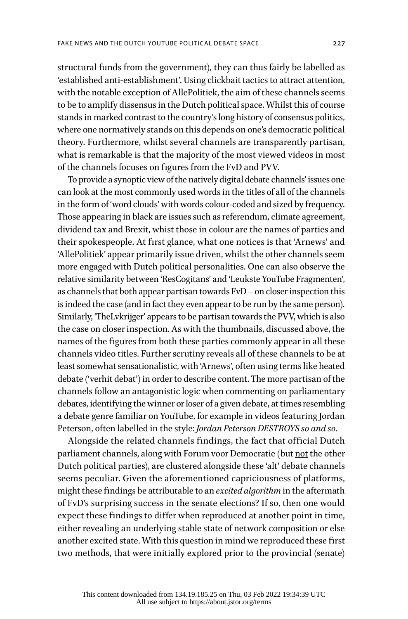structural funds from the government), they can thus fairly be labelled as 'established anti-establishment'. Using clickbait tactics to attract attention, with the notable exception of AllePolitiek, the aim of these channels seems to be to amplify dissensus in the Dutch political space. Whilst this of course stands in marked contrast to the country's long history of consensus politics, where one normatively stands on this depends on one's democratic political theory. Furthermore, whilst several channels are transparently partisan, what is remarkable is that the majority of the most viewed videos in most of the channels focuses on figures from the FvD and PVV.

To provide a synoptic view of the natively digital debate channels' issues one can look at the most commonly used words in the titles of all of the channels in the form of 'word clouds' with words colour-coded and sized by frequency. Those appearing in black are issues such as referendum, climate agreement, dividend tax and Brexit, whist those in colour are the names of parties and their spokespeople. At first glance, what one notices is that 'Arnews' and 'AllePolitiek' appear primarily issue driven, whilst the other channels seem more engaged with Dutch political personalities. One can also observe the relative similarity between 'ResCogitans' and 'Leukste YouTube Fragmenten', as channels that both appear partisan towards FvD – on closer inspection this is indeed the case (and in fact they even appear to be run by the same person). Similarly, 'TheLvkrijger' appears to be partisan towards the PVV, which is also the case on closer inspection. As with the thumbnails, discussed above, the names of the figures from both these parties commonly appear in all these channels video titles. Further scrutiny reveals all of these channels to be at least somewhat sensationalistic, with 'Arnews', often using terms like heated debate ('verhit debat') in order to describe content. The more partisan of the channels follow an antagonistic logic when commenting on parliamentary debates, identifying the winner or loser of a given debate, at times resembling a debate genre familiar on YouTube, for example in videos featuring Jordan Peterson, often labelled in the style: *Jordan Peterson DESTROYS so and so*.

Alongside the related channels findings, the fact that official Dutch parliament channels, along with Forum voor Democratie (but not the other Dutch political parties), are clustered alongside these 'alt' debate channels seems peculiar. Given the aforementioned capriciousness of platforms, might these findings be attributable to an *excited algorithm* in the aftermath of FvD's surprising success in the senate elections? If so, then one would expect these findings to differ when reproduced at another point in time, either revealing an underlying stable state of network composition or else another excited state. With this question in mind we reproduced these first two methods, that were initially explored prior to the provincial (senate)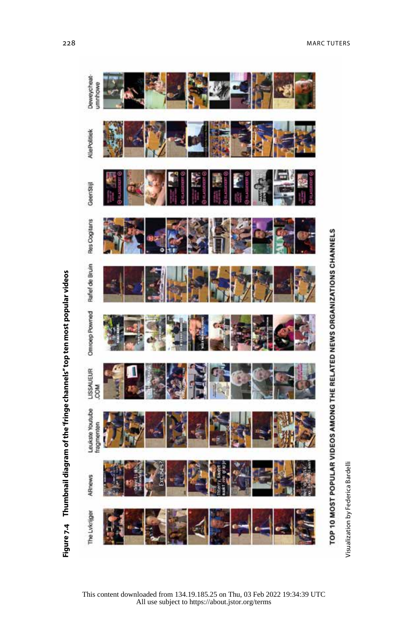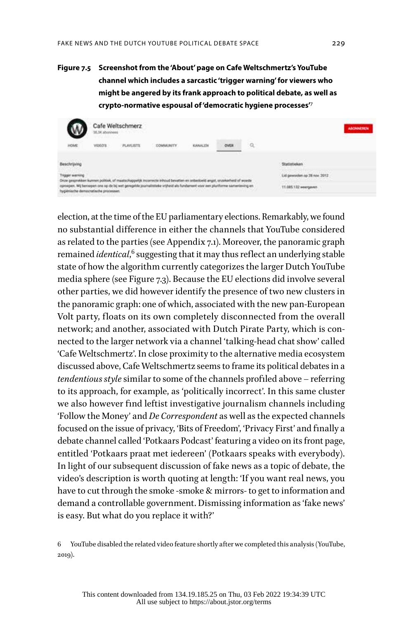#### **Figure 7.5 Screenshot from the 'About' page on Cafe Weltschmertz's YouTube channel which includes a sarcastic 'trigger warning' for viewers who might be angered by its frank approach to political debate, as well as crypto-normative espousal of 'democratic hygiene processes'**<sup>7</sup>

|                                                                                                                                                                                                                                                                                                                                                                                                                                                                                                                                                                                       | Cafe Weltschmerz<br>23.WAXA<br>55.3K abonness<br>-7239500 |                  |  |                                             |      |   |                                                                                                                  | <b>MALAZIN MALAZIN REAL</b><br><b>ABONNEREN</b> |
|---------------------------------------------------------------------------------------------------------------------------------------------------------------------------------------------------------------------------------------------------------------------------------------------------------------------------------------------------------------------------------------------------------------------------------------------------------------------------------------------------------------------------------------------------------------------------------------|-----------------------------------------------------------|------------------|--|---------------------------------------------|------|---|------------------------------------------------------------------------------------------------------------------|-------------------------------------------------|
|                                                                                                                                                                                                                                                                                                                                                                                                                                                                                                                                                                                       | WDEO'S                                                    | <b>PLAYLISTS</b> |  | <b>KANALISH</b><br><b><i>DATE MAYOR</i></b> | OVER | ä |                                                                                                                  |                                                 |
| Beschrijving                                                                                                                                                                                                                                                                                                                                                                                                                                                                                                                                                                          |                                                           |                  |  |                                             |      |   | Statisticken                                                                                                     |                                                 |
| <b>PERMIT MATTERS</b><br>the company's company's product to the company's state of the com-<br>Once gesprekken kunnen politiek, of maatschappelijk inconnete inhoud bevatten en imbedoeld angst, onzekerheid of woede<br>sproepen. Wij beroepen one op de bij wet geregelde journalisitieke wijheid als fundament voor een plurforme sameroeving en<br>To colonization derivativation processors. The colonization of the colonization of the colonization of the colonization of the colonization of the colonization of the colonization of the colonization of the colonization of |                                                           |                  |  |                                             |      |   | electric control that several process<br>Lid geworden op 26 nov. 2012<br>and a series of the control of the con- |                                                 |
|                                                                                                                                                                                                                                                                                                                                                                                                                                                                                                                                                                                       |                                                           |                  |  |                                             |      |   | TT.085.132 weergaven                                                                                             |                                                 |

election, at the time of the EU parliamentary elections. Remarkably, we found no substantial difference in either the channels that YouTube considered as related to the parties (see Appendix 7.1). Moreover, the panoramic graph remained *identical,* $^6$  suggesting that it may thus reflect an underlying stable state of how the algorithm currently categorizes the larger Dutch YouTube media sphere (see Figure 7.3). Because the EU elections did involve several other parties, we did however identify the presence of two new clusters in the panoramic graph: one of which, associated with the new pan-European Volt party, floats on its own completely disconnected from the overall network; and another, associated with Dutch Pirate Party, which is connected to the larger network via a channel 'talking-head chat show' called 'Cafe Weltschmertz'. In close proximity to the alternative media ecosystem discussed above, Cafe Weltschmertz seems to frame its political debates in a *tendentious style* similar to some of the channels profiled above – referring to its approach, for example, as 'politically incorrect'. In this same cluster we also however find leftist investigative journalism channels including 'Follow the Money' and *De Correspondent* as well as the expected channels focused on the issue of privacy, 'Bits of Freedom', 'Privacy First' and finally a debate channel called 'Potkaars Podcast' featuring a video on its front page, entitled 'Potkaars praat met iedereen' (Potkaars speaks with everybody). In light of our subsequent discussion of fake news as a topic of debate, the video's description is worth quoting at length: 'If you want real news, you have to cut through the smoke -smoke & mirrors- to get to information and demand a controllable government. Dismissing information as 'fake news' is easy. But what do you replace it with?'

<sup>6</sup> YouTube disabled the related video feature shortly after we completed this analysis (YouTube, 2019).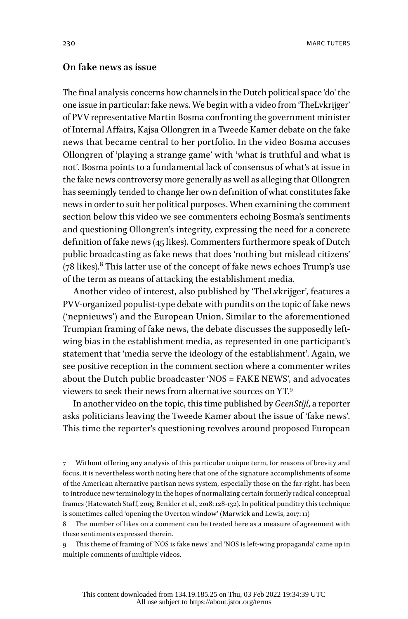230 MARC TUTER

#### **On fake news as issue**

The final analysis concerns how channels in the Dutch political space 'do' the one issue in particular: fake news. We begin with a video from 'TheLvkrijger' of PVV representative Martin Bosma confronting the government minister of Internal Affairs, Kajsa Ollongren in a Tweede Kamer debate on the fake news that became central to her portfolio. In the video Bosma accuses Ollongren of 'playing a strange game' with 'what is truthful and what is not'. Bosma points to a fundamental lack of consensus of what's at issue in the fake news controversy more generally as well as alleging that Ollongren has seemingly tended to change her own definition of what constitutes fake news in order to suit her political purposes. When examining the comment section below this video we see commenters echoing Bosma's sentiments and questioning Ollongren's integrity, expressing the need for a concrete definition of fake news (45 likes). Commenters furthermore speak of Dutch public broadcasting as fake news that does 'nothing but mislead citizens' (78 likes). $^8$  This latter use of the concept of fake news echoes Trump's use of the term as means of attacking the establishment media.

Another video of interest, also published by 'TheLvkrijger', features a PVV-organized populist-type debate with pundits on the topic of fake news ('nepnieuws') and the European Union. Similar to the aforementioned Trumpian framing of fake news, the debate discusses the supposedly leftwing bias in the establishment media, as represented in one participant's statement that 'media serve the ideology of the establishment'. Again, we see positive reception in the comment section where a commenter writes about the Dutch public broadcaster 'NOS = FAKE NEWS', and advocates viewers to seek their news from alternative sources on YT.9

In another video on the topic, this time published by *GeenStijl*, a reporter asks politicians leaving the Tweede Kamer about the issue of 'fake news'. This time the reporter's questioning revolves around proposed European

8 The number of likes on a comment can be treated here as a measure of agreement with these sentiments expressed therein.

9 This theme of framing of 'NOS is fake news' and 'NOS is left-wing propaganda' came up in multiple comments of multiple videos.

<sup>7</sup> Without offering any analysis of this particular unique term, for reasons of brevity and focus, it is nevertheless worth noting here that one of the signature accomplishments of some of the American alternative partisan news system, especially those on the far-right, has been to introduce new terminology in the hopes of normalizing certain formerly radical conceptual frames (Hatewatch Staff, 2015; Benkler et al., 2018: 128-132). In political punditry this technique is sometimes called 'opening the Overton window' (Marwick and Lewis, 2017: 11)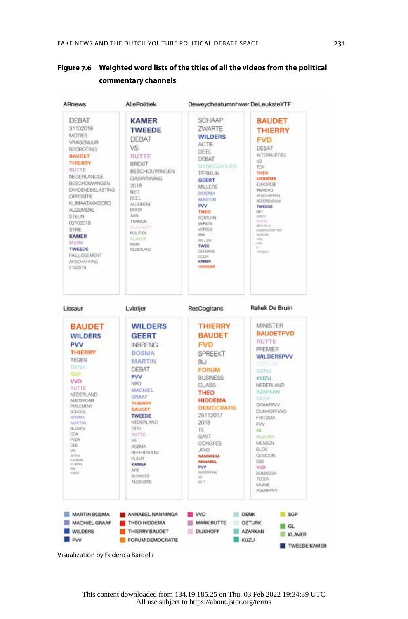#### **ARnews AllePolitiek** Deweycheatumnhwer DeLeuksteYTF DEBAT **KAMER SCHAAP BAUDET** 31102018 **ZWARTE TWEEDE** THIERRY **MOTIES WILDERS** DEBAT **FVD MEACONILIDE** ACTIC VS. **DERAT BEGROTING DEEL** INTERFLIFTES **BAUDET RUTTE** DEBAT vs. THEFRAY **BREXIT DENKGEKKIES** TOP RUTTE **BESCHOUWINGEN** THEO TCDA ALB2 MEDGER ANDSE GASWINNING GEERT HIDDEMA **BESCHOUWINGEN ELROPESE** 201B **MELERS** DIVIDENDEELASTING **INSIENG** NET **BOSMA** OPPOSITIE AFSCHAFFEN **DEEL MARTIN WI BANATAKWINGED ALCIENENE** puru TWEEDE **ALGEMENE** none THEO NET<br>ARD STELN  $4.117$ FORTUNNE AND<br>MO-DOLD<br>MO-DOLD<br>MAD<br>MAD<br>MAD<br>MAD<br>MAD<br>MAD<br>MAD<br>MAD TEGAS.MA 02102018 FERSTE vinneris SVING **POLITIEK** PM KAMER **KLAVER** WA CENT MARK **HAAR** TWEE TWEEDE **NEDDRAID** CLTMANE **Houston** FAILLISSEMENT cevas **AFSO-WFFING** KAMER 2102018 **HIPPERAL** Lissaur Lvkrijer ResCogitans Rafiek De Bruin **WILDERS MINISTER BAUDET THIERRY BAUDETFVD BAUDET WILDERS GEERT** RUTTE PVV **INBRENG FVD** PREMIER THIERRY **BOSMA** SPREEKT **WILDERSPVV** TEGEN **MARTIN** BU. DENK DEBAT **FORUM** DENK **STIP** pwu **BUSINESS K11211 VVD** NRO CLASS NEDERLAND BUTTE **MACHIEL** AZARKAN THEO NEDER AND GRAAF **HIDDEMA** DESIG AMETERTIAN THIERRY **GRAAFIAA** PAREMENT DEMOCRATIE BAUDET SCHOOL DUNNADEPWD 25112017 **TWEEDE** BOSMA **FRITSMA** NEDERLAND 2018 MARTIN PVV. BLUVEN **DEIL** TF GL. COA **HUTTE** GAST KLAVER **Burns** ijg CONGRES MENSEN non. **AGEMA** R-DK **JPVD** MF. REFERENCIAN **GEWOON** ami NANNINGA 自自由 **ANNABEL DBE** HARM<br>ITOMIN<br>INDI KAMER PVV **VVD** ADE **MOTERDAN BERANCICA BLISNESS TEGEN ALCEMENE**  $500$ kateri **AGENARIV MARTIN BOSMA** ANNABEL NANNINGA **DENK** SGP WD MACHIEL GRAAF THEO HIDDEMA MARK RUTTE **OZTURK B** GL WILDERS THIERRY BAUDET **DIJKHOFF** AZARKAN **KLAVER D** PVV FORUM DEMOCRATIE **KUZU** TWEEDE KAMER

#### **Figure 7.6 Weighted word lists of the titles of all the videos from the political commentary channels**

Visualization by Federica Bardelli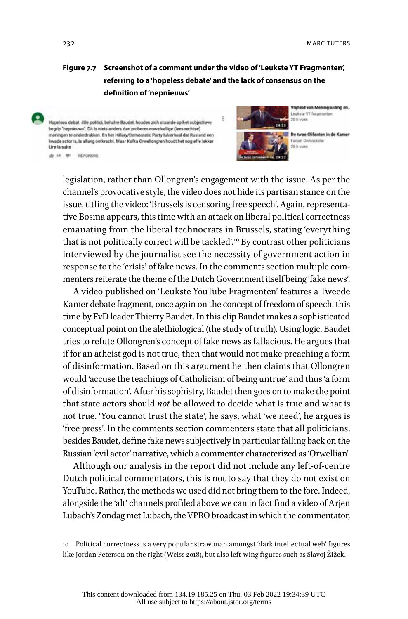#### **Figure 7.7 Screenshot of a comment under the video of 'Leukste YT Fragmenten', referring to a 'hopeless debate' and the lack of consensus on the definition of 'nepnieuws'**

Hopeloos debat. Alle politici, behalve Baudet, houden zich staande op het oubjectieve begrip 'nepnieuws'. Dit is niets anders dan proberen onwelvallige (lees:rechtse) meningen te onderdrukken. En het Hillary/Democratic Party luiverhaal dat Rusland een lowade actor is, is allung ontiracht. Maar Kafka Onwellongren houdt het nog effe lekker Lire la suite





Vrijheid van Meningsuiting en. Leukste VT fragmenten **SO E Grand** 

De twee Olifanten in de Kamer **Grum Derivocratie** 26 k yuns

legislation, rather than Ollongren's engagement with the issue. As per the channel's provocative style, the video does not hide its partisan stance on the issue, titling the video: 'Brussels is censoring free speech'. Again, representative Bosma appears, this time with an attack on liberal political correctness emanating from the liberal technocrats in Brussels, stating 'everything that is not politically correct will be tackled'.10 By contrast other politicians interviewed by the journalist see the necessity of government action in response to the 'crisis' of fake news. In the comments section multiple commenters reiterate the theme of the Dutch Government itself being 'fake news'.

A video published on 'Leukste YouTube Fragmenten' features a Tweede Kamer debate fragment, once again on the concept of freedom of speech, this time by FvD leader Thierry Baudet. In this clip Baudet makes a sophisticated conceptual point on the alethiological (the study of truth). Using logic, Baudet tries to refute Ollongren's concept of fake news as fallacious. He argues that if for an atheist god is not true, then that would not make preaching a form of disinformation. Based on this argument he then claims that Ollongren would 'accuse the teachings of Catholicism of being untrue' and thus 'a form of disinformation'. After his sophistry, Baudet then goes on to make the point that state actors should *not* be allowed to decide what is true and what is not true. 'You cannot trust the state', he says, what 'we need', he argues is 'free press'. In the comments section commenters state that all politicians, besides Baudet, define fake news subjectively in particular falling back on the Russian 'evil actor' narrative, which a commenter characterized as 'Orwellian'.

Although our analysis in the report did not include any left-of-centre Dutch political commentators, this is not to say that they do not exist on YouTube. Rather, the methods we used did not bring them to the fore. Indeed, alongside the 'alt' channels profiled above we can in fact find a video of Arjen Lubach's Zondag met Lubach, the VPRO broadcast in which the commentator,

<sup>10</sup> Political correctness is a very popular straw man amongst 'dark intellectual web' figures like Jordan Peterson on the right (Weiss 2018), but also left-wing figures such as Slavoj Žižek.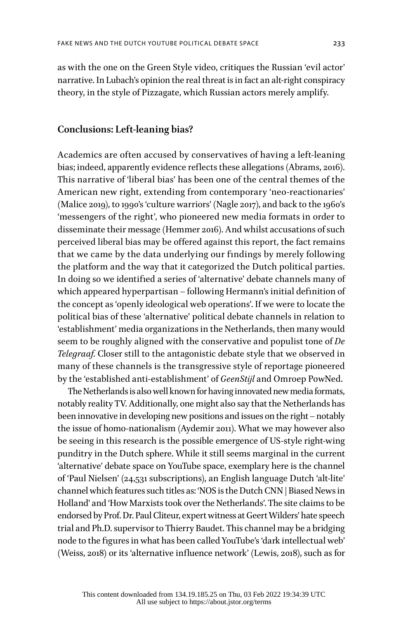as with the one on the Green Style video, critiques the Russian 'evil actor' narrative. In Lubach's opinion the real threat is in fact an alt-right conspiracy

#### **Conclusions: Left-leaning bias?**

Academics are often accused by conservatives of having a left-leaning bias; indeed, apparently evidence reflects these allegations (Abrams, 2016). This narrative of 'liberal bias' has been one of the central themes of the American new right, extending from contemporary 'neo-reactionaries' (Malice 2019), to 1990's 'culture warriors' (Nagle 2017), and back to the 1960's 'messengers of the right', who pioneered new media formats in order to disseminate their message (Hemmer 2016). And whilst accusations of such perceived liberal bias may be offered against this report, the fact remains that we came by the data underlying our findings by merely following the platform and the way that it categorized the Dutch political parties. In doing so we identified a series of 'alternative' debate channels many of which appeared hyperpartisan – following Hermann's initial definition of the concept as 'openly ideological web operations'. If we were to locate the political bias of these 'alternative' political debate channels in relation to 'establishment' media organizations in the Netherlands, then many would seem to be roughly aligned with the conservative and populist tone of *De Telegraaf*. Closer still to the antagonistic debate style that we observed in many of these channels is the transgressive style of reportage pioneered by the 'established anti-establishment' of *GeenStijl* and Omroep PowNed.

theory, in the style of Pizzagate, which Russian actors merely amplify.

The Netherlands is also well known for having innovated new media formats, notably reality TV. Additionally, one might also say that the Netherlands has been innovative in developing new positions and issues on the right – notably the issue of homo-nationalism (Aydemir 2011). What we may however also be seeing in this research is the possible emergence of US-style right-wing punditry in the Dutch sphere. While it still seems marginal in the current 'alternative' debate space on YouTube space, exemplary here is the channel of 'Paul Nielsen' (24,531 subscriptions), an English language Dutch 'alt-lite' channel which features such titles as: 'NOS is the Dutch CNN | Biased News in Holland' and 'How Marxists took over the Netherlands'. The site claims to be endorsed by Prof. Dr. Paul Cliteur, expert witness at Geert Wilders' hate speech trial and Ph.D. supervisor to Thierry Baudet. This channel may be a bridging node to the figures in what has been called YouTube's 'dark intellectual web' (Weiss, 2018) or its 'alternative influence network' (Lewis, 2018), such as for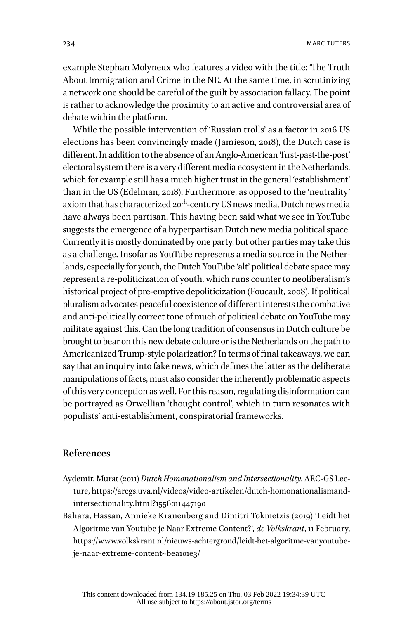example Stephan Molyneux who features a video with the title: 'The Truth About Immigration and Crime in the NL'. At the same time, in scrutinizing a network one should be careful of the guilt by association fallacy. The point is rather to acknowledge the proximity to an active and controversial area of debate within the platform.

While the possible intervention of 'Russian trolls' as a factor in 2016 US elections has been convincingly made (Jamieson, 2018), the Dutch case is different. In addition to the absence of an Anglo-American 'first-past-the-post' electoral system there is a very different media ecosystem in the Netherlands, which for example still has a much higher trust in the general 'establishment' than in the US (Edelman, 2018). Furthermore, as opposed to the 'neutrality' axiom that has characterized  $20^{th}$ -century US news media, Dutch news media have always been partisan. This having been said what we see in YouTube suggests the emergence of a hyperpartisan Dutch new media political space. Currently it is mostly dominated by one party, but other parties may take this as a challenge. Insofar as YouTube represents a media source in the Netherlands, especially for youth, the Dutch YouTube 'alt' political debate space may represent a re-politicization of youth, which runs counter to neoliberalism's historical project of pre-emptive depoliticization (Foucault, 2008). If political pluralism advocates peaceful coexistence of different interests the combative and anti-politically correct tone of much of political debate on YouTube may militate against this. Can the long tradition of consensus in Dutch culture be brought to bear on this new debate culture or is the Netherlands on the path to Americanized Trump-style polarization? In terms of final takeaways, we can say that an inquiry into fake news, which defines the latter as the deliberate manipulations of facts, must also consider the inherently problematic aspects of this very conception as well. For this reason, regulating disinformation can be portrayed as Orwellian 'thought control', which in turn resonates with populists' anti-establishment, conspiratorial frameworks.

#### **References**

- Aydemir, Murat (2011) *Dutch Homonationalism and Intersectionality*, ARC-GS Lecture, https://arcgs.uva.nl/videos/video-artikelen/dutch-homonationalismandintersectionality.html?1556011447190
- Bahara, Hassan, Annieke Kranenberg and Dimitri Tokmetzis (2019) 'Leidt het Algoritme van Youtube je Naar Extreme Content?', *de Volkskrant*, 11 February, https://www.volkskrant.nl/nieuws-achtergrond/leidt-het-algoritme-vanyoutubeje-naar-extreme-content~bea101e3/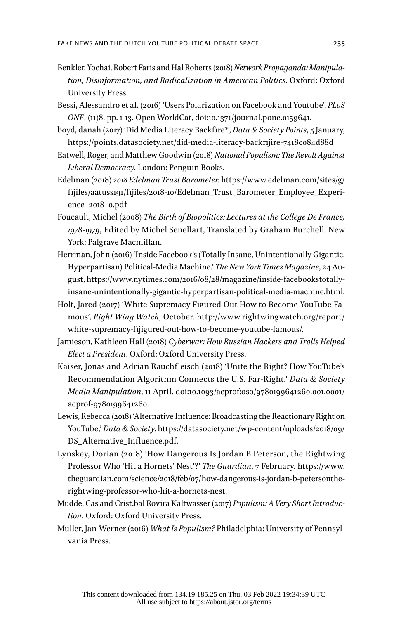- Benkler, Yochai, Robert Faris and Hal Roberts (2018) *Network Propaganda: Manipulation, Disinformation, and Radicalization in American Politics*. Oxford: Oxford University Press.
- Bessi, Alessandro et al. (2016) 'Users Polarization on Facebook and Youtube', *PLoS ONE*, (11)8, pp. 1-13. Open WorldCat, doi:10.1371/journal.pone.0159641.
- boyd, danah (2017) 'Did Media Literacy Backfire?', *Data & Society Points*, 5 January, https://points.datasociety.net/did-media-literacy-backfijire-7418c084d88d
- Eatwell, Roger, and Matthew Goodwin (2018) *National Populism: The Revolt Against Liberal Democracy*. London: Penguin Books.
- Edelman (2018) *2018 Edelman Trust Barometer*. https://www.edelman.com/sites/g/ fijiles/aatuss191/fijiles/2018-10/Edelman\_Trust\_Barometer\_Employee\_Experience\_2018\_0.pdf
- Foucault, Michel (2008) *The Birth of Biopolitics: Lectures at the College De France, 1978-1979*, Edited by Michel Senellart, Translated by Graham Burchell. New York: Palgrave Macmillan.
- Herrman, John (2016) 'Inside Facebook's (Totally Insane, Unintentionally Gigantic, Hyperpartisan) Political-Media Machine.' *The New York Times Magazine*, 24 August, https://www.nytimes.com/2016/08/28/magazine/inside-facebookstotallyinsane-unintentionally-gigantic-hyperpartisan-political-media-machine.html.
- Holt, Jared (2017) 'White Supremacy Figured Out How to Become YouTube Famous', *Right Wing Watch*, October. http://www.rightwingwatch.org/report/ white-supremacy-fijigured-out-how-to-become-youtube-famous/.
- Jamieson, Kathleen Hall (2018) *Cyberwar: How Russian Hackers and Trolls Helped Elect a President*. Oxford: Oxford University Press.
- Kaiser, Jonas and Adrian Rauchfleisch (2018) 'Unite the Right? How YouTube's Recommendation Algorithm Connects the U.S. Far-Right.' *Data & Society Media Manipulation*, 11 April. doi:10.1093/acprof:oso/9780199641260.001.0001/ acprof-9780199641260.
- Lewis, Rebecca (2018) 'Alternative Influence: Broadcasting the Reactionary Right on YouTube,' *Data & Society*. https://datasociety.net/wp-content/uploads/2018/09/ DS Alternative Influence.pdf.
- Lynskey, Dorian (2018) 'How Dangerous Is Jordan B Peterson, the Rightwing Professor Who 'Hit a Hornets' Nest'?' *The Guardian*, 7 February. https://www. theguardian.com/science/2018/feb/07/how-dangerous-is-jordan-b-petersontherightwing-professor-who-hit-a-hornets-nest.
- Mudde, Cas and Crist.bal Rovira Kaltwasser (2017) *Populism: A Very Short Introduction*. Oxford: Oxford University Press.
- Muller, Jan-Werner (2016) *What Is Populism?* Philadelphia: University of Pennsylvania Press.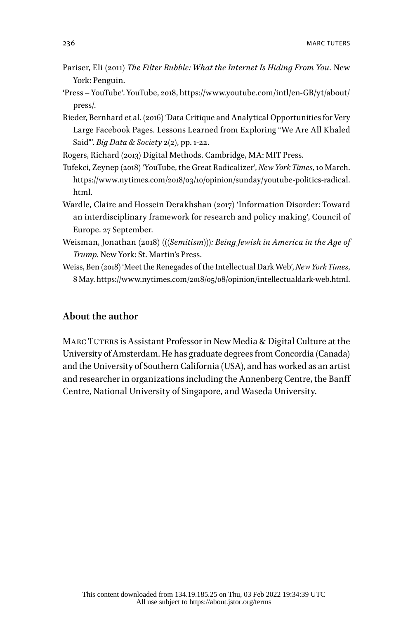- Pariser, Eli (2011) *The Filter Bubble: What the Internet Is Hiding From You.* New York: Penguin.
- 'Press YouTube'. YouTube, 2018, https://www.youtube.com/intl/en-GB/yt/about/ press/.
- Rieder, Bernhard et al. (2016) 'Data Critique and Analytical Opportunities for Very Large Facebook Pages. Lessons Learned from Exploring "We Are All Khaled Said"'. *Big Data & Society* 2(2), pp. 1-22.
- Rogers, Richard (2013) Digital Methods. Cambridge, MA: MIT Press.
- Tufekci, Zeynep (2018) 'YouTube, the Great Radicalizer', *New York Times,* 10 March. https://www.nytimes.com/2018/03/10/opinion/sunday/youtube-politics-radical. html.
- Wardle, Claire and Hossein Derakhshan (2017) 'Information Disorder: Toward an interdisciplinary framework for research and policy making', Council of Europe. 27 September.
- Weisman, Jonathan (2018) *(((Semitism))): Being Jewish in America in the Age of Trump*. New York: St. Martin's Press.
- Weiss, Ben (2018) 'Meet the Renegades of the Intellectual Dark Web', *New York Times*, 8 May. https://www.nytimes.com/2018/05/08/opinion/intellectualdark-web.html.

### **About the author**

MARC TUTERS is Assistant Professor in New Media & Digital Culture at the University of Amsterdam. He has graduate degrees from Concordia (Canada) and the University of Southern California (USA), and has worked as an artist and researcher in organizations including the Annenberg Centre, the Banff Centre, National University of Singapore, and Waseda University.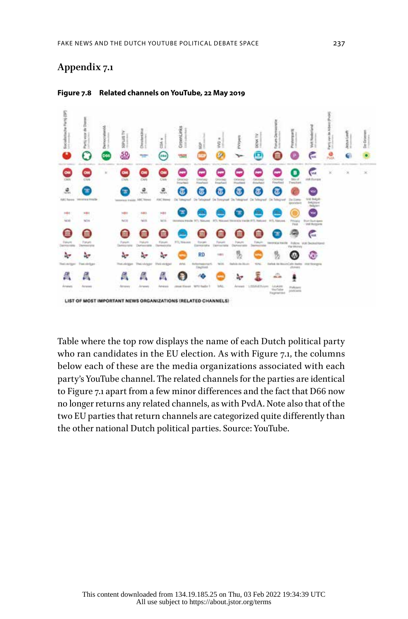## **Appendix 7.1**



**Figure 7.8 Related channels on YouTube, 22 May 2019**

Table where the top row displays the name of each Dutch political party who ran candidates in the EU election. As with Figure 7.1, the columns below each of these are the media organizations associated with each party's YouTube channel. The related channels for the parties are identical to Figure 7.1 apart from a few minor differences and the fact that D66 now no longer returns any related channels, as with PvdA. Note also that of the two EU parties that return channels are categorized quite differently than the other national Dutch political parties. Source: YouTube.